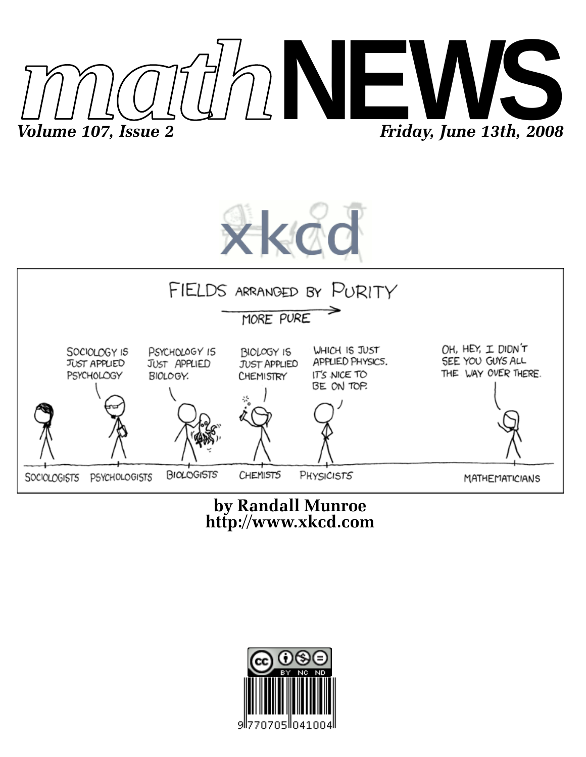





**http://www.xkcd.com by Randall Munroe**

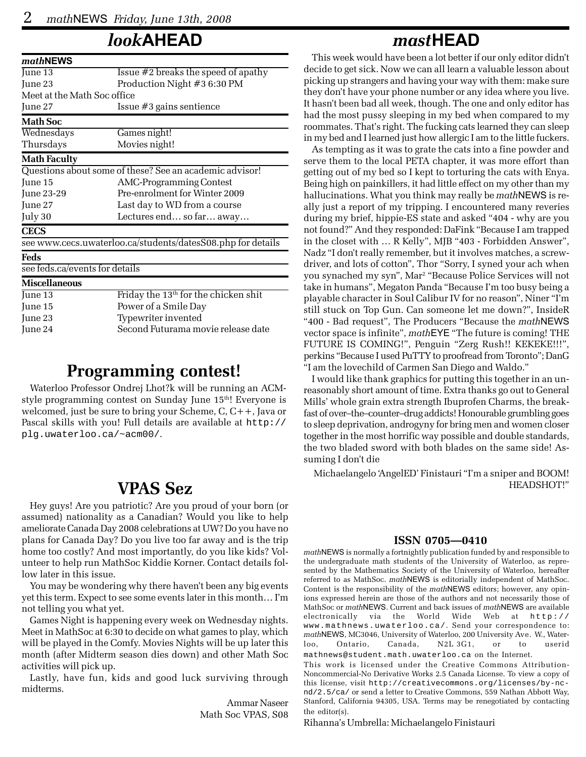# *look***AHEAD**

| mathNEWS                       |                                                             |  |  |  |  |  |
|--------------------------------|-------------------------------------------------------------|--|--|--|--|--|
| June 13                        | Issue #2 breaks the speed of apathy                         |  |  |  |  |  |
| June 23                        | Production Night #3 6:30 PM                                 |  |  |  |  |  |
| Meet at the Math Soc office    |                                                             |  |  |  |  |  |
| June 27                        | Issue $#3$ gains sentience                                  |  |  |  |  |  |
| <b>Math Soc</b>                |                                                             |  |  |  |  |  |
| Wednesdays                     | Games night!                                                |  |  |  |  |  |
| Thursdays                      | Movies night!                                               |  |  |  |  |  |
| <b>Math Faculty</b>            |                                                             |  |  |  |  |  |
|                                | Questions about some of these? See an academic advisor!     |  |  |  |  |  |
| June 15                        | <b>AMC-Programming Contest</b>                              |  |  |  |  |  |
| June 23-29                     | Pre-enrolment for Winter 2009                               |  |  |  |  |  |
| June 27                        | Last day to WD from a course                                |  |  |  |  |  |
| July 30                        | Lectures end so far away                                    |  |  |  |  |  |
| <b>CECS</b>                    |                                                             |  |  |  |  |  |
|                                | see www.cecs.uwaterloo.ca/students/datesS08.php for details |  |  |  |  |  |
| Feds                           |                                                             |  |  |  |  |  |
| see feds.ca/events for details |                                                             |  |  |  |  |  |
| <b>Miscellaneous</b>           |                                                             |  |  |  |  |  |
| June 13                        | Friday the $13th$ for the chicken shit                      |  |  |  |  |  |
| June 15                        | Power of a Smile Day                                        |  |  |  |  |  |
| June 23                        | Typewriter invented                                         |  |  |  |  |  |
| June 24                        | Second Futurama movie release date                          |  |  |  |  |  |

## **Programming contest!**

Waterloo Professor Ondrej Lhot?k will be running an ACMstyle programming contest on Sunday June 15<sup>th</sup>! Everyone is welcomed, just be sure to bring your Scheme, C, C++, Java or Pascal skills with you! Full details are available at http:// plg.uwaterloo.ca/~acm00/.

## **VPAS Sez**

Hey guys! Are you patriotic? Are you proud of your born (or assumed) nationality as a Canadian? Would you like to help ameliorate Canada Day 2008 celebrations at UW? Do you have no plans for Canada Day? Do you live too far away and is the trip home too costly? And most importantly, do you like kids? Volunteer to help run MathSoc Kiddie Korner. Contact details follow later in this issue.

You may be wondering why there haven't been any big events yet this term. Expect to see some events later in this month… I'm not telling you what yet.

Games Night is happening every week on Wednesday nights. Meet in MathSoc at 6:30 to decide on what games to play, which will be played in the Comfy. Movies Nights will be up later this month (after Midterm season dies down) and other Math Soc activities will pick up.

Lastly, have fun, kids and good luck surviving through midterms.

> Ammar Naseer Math Soc VPAS, S08

## *mast***HEAD**

This week would have been a lot better if our only editor didn't decide to get sick. Now we can all learn a valuable lesson about picking up strangers and having your way with them: make sure they don't have your phone number or any idea where you live. It hasn't been bad all week, though. The one and only editor has had the most pussy sleeping in my bed when compared to my roommates. That's right. The fucking cats learned they can sleep in my bed and I learned just how allergic I am to the little fuckers.

As tempting as it was to grate the cats into a fine powder and serve them to the local PETA chapter, it was more effort than getting out of my bed so I kept to torturing the cats with Enya. Being high on painkillers, it had little effect on my other than my hallucinations. What you think may really be *math*NEWS is really just a report of my tripping. I encountered many reveries during my brief, hippie-ES state and asked "404 - why are you not found?" And they responded: DaFink "Because I am trapped in the closet with … R Kelly", MJB "403 - Forbidden Answer", Nadz "I don't really remember, but it involves matches, a screwdriver, and lots of cotton", Thor "Sorry, I syned your ach when you synached my syn", Mar2 "Because Police Services will not take in humans", Megaton Panda "Because I'm too busy being a playable character in Soul Calibur IV for no reason", Niner "I'm still stuck on Top Gun. Can someone let me down?", InsideR "400 - Bad request", The Producers "Because the *math*NEWS vector space is infinite", *math*EYE "The future is coming! THE FUTURE IS COMING!", Penguin "Zerg Rush!! KEKEKE!!!", perkins "Because I used PuTTY to proofread from Toronto"; DanG "I am the lovechild of Carmen San Diego and Waldo."

I would like thank graphics for putting this together in an unreasonably short amount of time. Extra thanks go out to General Mills' whole grain extra strength Ibuprofen Charms, the breakfast of over–the–counter–drug addicts! Honourable grumbling goes to sleep deprivation, androgyny for bring men and women closer together in the most horrific way possible and double standards, the two bladed sword with both blades on the same side! Assuming I don't die

Michaelangelo 'AngelED' Finistauri "I'm a sniper and BOOM! HEADSHOT!"

### **ISSN 0705—0410**

*math*NEWS is normally a fortnightly publication funded by and responsible to the undergraduate math students of the University of Waterloo, as represented by the Mathematics Society of the University of Waterloo, hereafter referred to as MathSoc. *math*NEWS is editorially independent of MathSoc. Content is the responsibility of the *math*NEWS editors; however, any opinions expressed herein are those of the authors and not necessarily those of MathSoc or *math*NEWS. Current and back issues of *math*NEWS are available electronically via the World Wide Web at http:// www.mathnews.uwaterloo.ca/. Send your correspondence to: *math*NEWS, MC3046, University of Waterloo, 200 University Ave. W., Waterloo, Ontario, Canada, N2L 3G1, or to userid mathnews@student.math.uwaterloo.ca on the Internet.

This work is licensed under the Creative Commons Attribution-Noncommercial-No Derivative Works 2.5 Canada License. To view a copy of this license, visit http://creativecommons.org/licenses/by-ncnd/2.5/ca/ or send a letter to Creative Commons, 559 Nathan Abbott Way, Stanford, California 94305, USA. Terms may be renegotiated by contacting the editor(s).

Rihanna's Umbrella: Michaelangelo Finistauri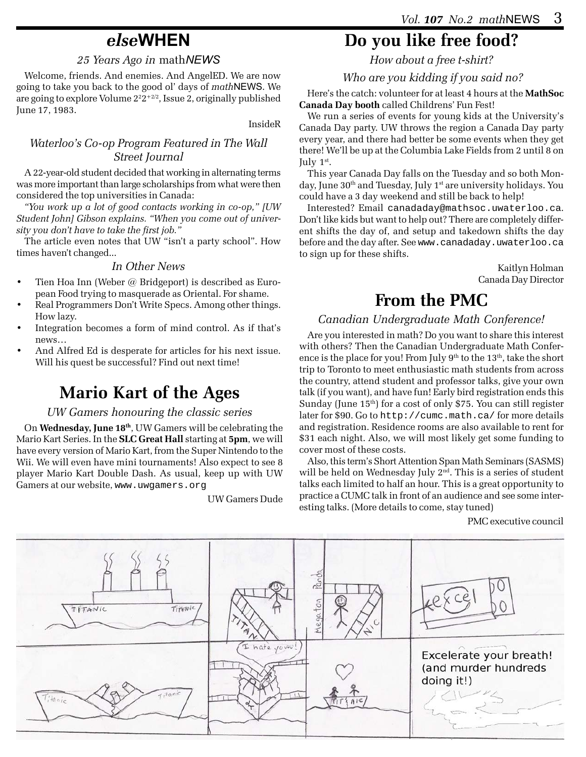# *else***WHEN**

### *25 Years Ago in* math*NEWS*

Welcome, friends. And enemies. And AngelED. We are now going to take you back to the good ol' days of *math*NEWS. We are going to explore Volume  $2^22^{+2/2}$ , Issue 2, originally published June 17, 1983.

InsideR

### *Waterloo's Co-op Program Featured in The Wall Street Journal*

A 22-year-old student decided that working in alternating terms was more important than large scholarships from what were then considered the top universities in Canada:

*"You work up a lot of good contacts working in co-op," [UW Student John] Gibson explains. "When you come out of university you don't have to take the first job."*

The article even notes that UW "isn't a party school". How times haven't changed...

### *In Other News*

- Tien Hoa Inn (Weber @ Bridgeport) is described as European Food trying to masquerade as Oriental. For shame.
- Real Programmers Don't Write Specs. Among other things. How lazy.
- Integration becomes a form of mind control. As if that's news…
- And Alfred Ed is desperate for articles for his next issue. Will his quest be successful? Find out next time!

# **Mario Kart of the Ages**

### *UW Gamers honouring the classic series*

On **Wednesday, June 18th**, UW Gamers will be celebrating the Mario Kart Series. In the **SLC Great Hall** starting at **5pm**, we will have every version of Mario Kart, from the Super Nintendo to the Wii. We will even have mini tournaments! Also expect to see 8 player Mario Kart Double Dash. As usual, keep up with UW Gamers at our website, www.uwgamers.org

UW Gamers Dude

# **Do you like free food?**

*How about a free t-shirt?*

 *Who are you kidding if you said no?*

Here's the catch: volunteer for at least 4 hours at the **MathSoc Canada Day booth** called Childrens' Fun Fest!

We run a series of events for young kids at the University's Canada Day party. UW throws the region a Canada Day party every year, and there had better be some events when they get there! We'll be up at the Columbia Lake Fields from 2 until 8 on July  $1<sup>st</sup>$ .

This year Canada Day falls on the Tuesday and so both Monday, June 30<sup>th</sup> and Tuesday, July 1<sup>st</sup> are university holidays. You could have a 3 day weekend and still be back to help!

Interested? Email canadaday@mathsoc.uwaterloo.ca. Don't like kids but want to help out? There are completely different shifts the day of, and setup and takedown shifts the day before and the day after. See www.canadaday.uwaterloo.ca to sign up for these shifts.

> Kaitlyn Holman Canada Day Director

# **From the PMC**

### *Canadian Undergraduate Math Conference!*

Are you interested in math? Do you want to share this interest with others? Then the Canadian Undergraduate Math Conference is the place for you! From July 9<sup>th</sup> to the 13<sup>th</sup>, take the short trip to Toronto to meet enthusiastic math students from across the country, attend student and professor talks, give your own talk (if you want), and have fun! Early bird registration ends this Sunday (June 15<sup>th</sup>) for a cost of only \$75. You can still register later for \$90. Go to http://cumc.math.ca/ for more details and registration. Residence rooms are also available to rent for \$31 each night. Also, we will most likely get some funding to cover most of these costs.

Also, this term's Short Attention Span Math Seminars (SASMS) will be held on Wednesday July  $2<sup>nd</sup>$ . This is a series of student talks each limited to half an hour. This is a great opportunity to practice a CUMC talk in front of an audience and see some interesting talks. (More details to come, stay tuned)

PMC executive council

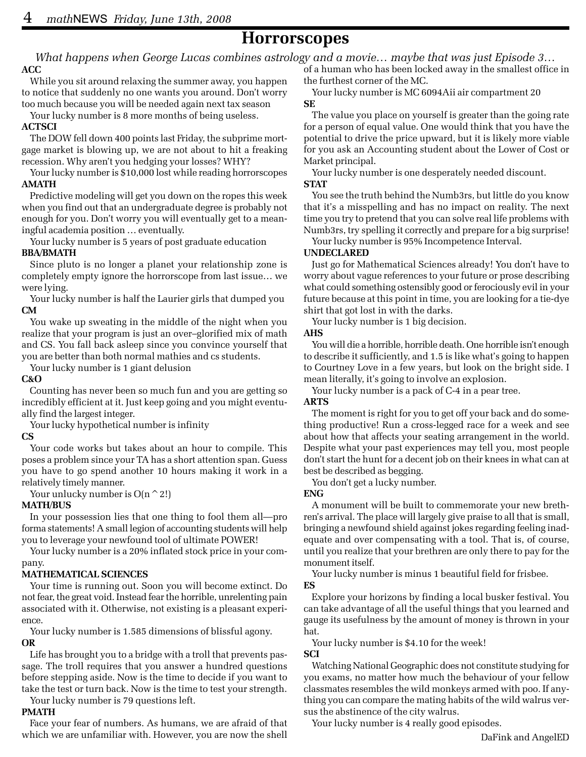## **Horrorscopes**

*What happens when George Lucas combines astrology and a movie… maybe that was just Episode 3…*

#### **ACC**

While you sit around relaxing the summer away, you happen to notice that suddenly no one wants you around. Don't worry too much because you will be needed again next tax season

Your lucky number is 8 more months of being useless.

#### **ACTSCI**

The DOW fell down 400 points last Friday, the subprime mortgage market is blowing up, we are not about to hit a freaking recession. Why aren't you hedging your losses? WHY?

Your lucky number is \$10,000 lost while reading horrorscopes **AMATH**

Predictive modeling will get you down on the ropes this week when you find out that an undergraduate degree is probably not enough for you. Don't worry you will eventually get to a meaningful academia position … eventually.

Your lucky number is 5 years of post graduate education **BBA/BMATH**

Since pluto is no longer a planet your relationship zone is completely empty ignore the horrorscope from last issue… we were lying.

Your lucky number is half the Laurier girls that dumped you **CM**

You wake up sweating in the middle of the night when you realize that your program is just an over–glorified mix of math and CS. You fall back asleep since you convince yourself that you are better than both normal mathies and cs students.

Your lucky number is 1 giant delusion

#### **C&O**

Counting has never been so much fun and you are getting so incredibly efficient at it. Just keep going and you might eventually find the largest integer.

Your lucky hypothetical number is infinity

#### **CS**

Your code works but takes about an hour to compile. This poses a problem since your TA has a short attention span. Guess you have to go spend another 10 hours making it work in a relatively timely manner.

Your unlucky number is  $O(n \n\hat{\hspace{0.2cm}} 2!)$ 

### **MATH/BUS**

In your possession lies that one thing to fool them all—pro forma statements! A small legion of accounting students will help you to leverage your newfound tool of ultimate POWER!

Your lucky number is a 20% inflated stock price in your company.

### **MATHEMATICAL SCIENCES**

Your time is running out. Soon you will become extinct. Do not fear, the great void. Instead fear the horrible, unrelenting pain associated with it. Otherwise, not existing is a pleasant experience.

Your lucky number is 1.585 dimensions of blissful agony. **OR**

Life has brought you to a bridge with a troll that prevents passage. The troll requires that you answer a hundred questions before stepping aside. Now is the time to decide if you want to take the test or turn back. Now is the time to test your strength.

Your lucky number is 79 questions left.

### **PMATH**

Face your fear of numbers. As humans, we are afraid of that which we are unfamiliar with. However, you are now the shell of a human who has been locked away in the smallest office in the furthest corner of the MC.

Your lucky number is MC 6094Aii air compartment 20 **SE**

The value you place on yourself is greater than the going rate for a person of equal value. One would think that you have the potential to drive the price upward, but it is likely more viable for you ask an Accounting student about the Lower of Cost or Market principal.

Your lucky number is one desperately needed discount. **STAT**

You see the truth behind the Numb3rs, but little do you know that it's a misspelling and has no impact on reality. The next time you try to pretend that you can solve real life problems with Numb3rs, try spelling it correctly and prepare for a big surprise!

Your lucky number is 95% Incompetence Interval.

#### **UNDECLARED**

Just go for Mathematical Sciences already! You don't have to worry about vague references to your future or prose describing what could something ostensibly good or ferociously evil in your future because at this point in time, you are looking for a tie-dye shirt that got lost in with the darks.

Your lucky number is 1 big decision.

#### **AHS**

You will die a horrible, horrible death. One horrible isn't enough to describe it sufficiently, and 1.5 is like what's going to happen to Courtney Love in a few years, but look on the bright side. I mean literally, it's going to involve an explosion.

Your lucky number is a pack of C-4 in a pear tree.

#### **ARTS**

The moment is right for you to get off your back and do something productive! Run a cross-legged race for a week and see about how that affects your seating arrangement in the world. Despite what your past experiences may tell you, most people don't start the hunt for a decent job on their knees in what can at best be described as begging.

You don't get a lucky number.

#### **ENG**

A monument will be built to commemorate your new brethren's arrival. The place will largely give praise to all that is small, bringing a newfound shield against jokes regarding feeling inadequate and over compensating with a tool. That is, of course, until you realize that your brethren are only there to pay for the monument itself.

Your lucky number is minus 1 beautiful field for frisbee. **ES**

Explore your horizons by finding a local busker festival. You can take advantage of all the useful things that you learned and gauge its usefulness by the amount of money is thrown in your hat.

Your lucky number is \$4.10 for the week!

### **SCI**

Watching National Geographic does not constitute studying for you exams, no matter how much the behaviour of your fellow classmates resembles the wild monkeys armed with poo. If anything you can compare the mating habits of the wild walrus versus the abstinence of the city walrus.

Your lucky number is 4 really good episodes.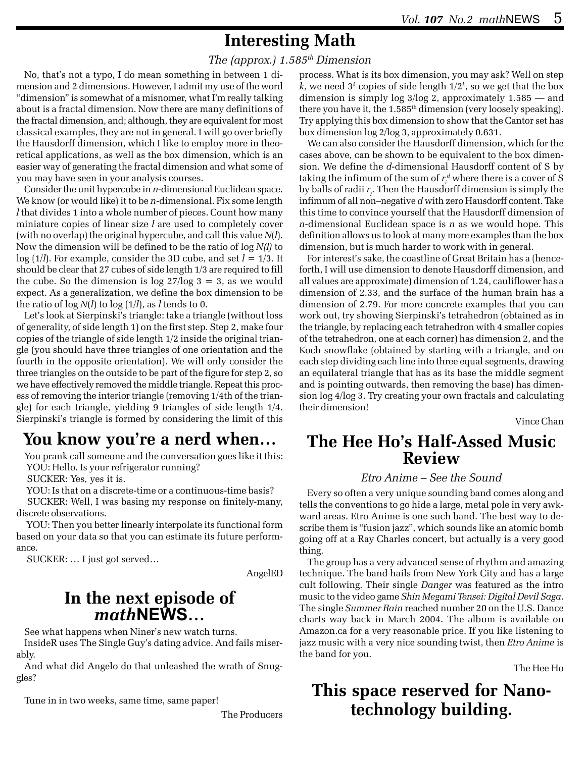# **Interesting Math**

### *The (approx.) 1.585th Dimension*

No, that's not a typo, I do mean something in between 1 dimension and 2 dimensions. However, I admit my use of the word "dimension" is somewhat of a misnomer, what I'm really talking about is a fractal dimension. Now there are many definitions of the fractal dimension, and; although, they are equivalent for most classical examples, they are not in general. I will go over briefly the Hausdorff dimension, which I like to employ more in theoretical applications, as well as the box dimension, which is an easier way of generating the fractal dimension and what some of you may have seen in your analysis courses.

Consider the unit hypercube in *n*-dimensional Euclidean space. We know (or would like) it to be *n*-dimensional. Fix some length *l* that divides 1 into a whole number of pieces. Count how many miniature copies of linear size *l* are used to completely cover (with no overlap) the original hypercube, and call this value *N*(*l*). Now the dimension will be defined to be the ratio of log *N(l)* to  $log(1/l)$ . For example, consider the 3D cube, and set  $l = 1/3$ . It should be clear that 27 cubes of side length 1/3 are required to fill the cube. So the dimension is  $\log 27/\log 3 = 3$ , as we would expect. As a generalization, we define the box dimension to be the ratio of log *N*(*l*) to log (1/*l*), as *l* tends to 0.

Let's look at Sierpinski's triangle: take a triangle (without loss of generality, of side length 1) on the first step. Step 2, make four copies of the triangle of side length 1/2 inside the original triangle (you should have three triangles of one orientation and the fourth in the opposite orientation). We will only consider the three triangles on the outside to be part of the figure for step 2, so we have effectively removed the middle triangle. Repeat this process of removing the interior triangle (removing 1/4th of the triangle) for each triangle, yielding 9 triangles of side length 1/4. Sierpinski's triangle is formed by considering the limit of this

# **You know you're a nerd when…**

You prank call someone and the conversation goes like it this: YOU: Hello. Is your refrigerator running?

SUCKER: Yes, yes it is.

YOU: Is that on a discrete-time or a continuous-time basis?

 SUCKER: Well, I was basing my response on finitely-many, discrete observations.

 YOU: Then you better linearly interpolate its functional form based on your data so that you can estimate its future performance.

SUCKER: … I just got served…

AngelED

## **In the next episode of** *math***NEWS…**

See what happens when Niner's new watch turns.

InsideR uses The Single Guy's dating advice. And fails miserably.

And what did Angelo do that unleashed the wrath of Snuggles?

Tune in in two weeks, same time, same paper!

The Producers

process. What is its box dimension, you may ask? Well on step  $k$ , we need  $3^k$  copies of side length  $1/2^k$ , so we get that the box dimension is simply log 3/log 2, approximately 1.585 — and there you have it, the  $1.585<sup>th</sup>$  dimension (very loosely speaking). Try applying this box dimension to show that the Cantor set has box dimension log 2/log 3, approximately 0.631.

We can also consider the Hausdorff dimension, which for the cases above, can be shown to be equivalent to the box dimension. We define the *d*-dimensional Hausdorff content of S by taking the infimum of the sum of  $r_i^d$  where there is a cover of S by balls of radii  $r_{\scriptscriptstyle{p}}$ . Then the Hausdorff dimension is simply the infimum of all non–negative *d* with zero Hausdorff content. Take this time to convince yourself that the Hausdorff dimension of *n*-dimensional Euclidean space is *n* as we would hope. This definition allows us to look at many more examples than the box dimension, but is much harder to work with in general.

For interest's sake, the coastline of Great Britain has a (henceforth, I will use dimension to denote Hausdorff dimension, and all values are approximate) dimension of 1.24, cauliflower has a dimension of 2.33, and the surface of the human brain has a dimension of 2.79. For more concrete examples that you can work out, try showing Sierpinski's tetrahedron (obtained as in the triangle, by replacing each tetrahedron with 4 smaller copies of the tetrahedron, one at each corner) has dimension 2, and the Koch snowflake (obtained by starting with a triangle, and on each step dividing each line into three equal segments, drawing an equilateral triangle that has as its base the middle segment and is pointing outwards, then removing the base) has dimension log 4/log 3. Try creating your own fractals and calculating their dimension!

Vince Chan

## **The Hee Ho's Half-Assed Music Review**

### *Etro Anime – See the Sound*

Every so often a very unique sounding band comes along and tells the conventions to go hide a large, metal pole in very awkward areas. Etro Anime is one such band. The best way to describe them is "fusion jazz", which sounds like an atomic bomb going off at a Ray Charles concert, but actually is a very good thing.

The group has a very advanced sense of rhythm and amazing technique. The band hails from New York City and has a large cult following. Their single *Danger* was featured as the intro music to the video game *Shin Megami Tensei: Digital Devil Saga*. The single *Summer Rain* reached number 20 on the U.S. Dance charts way back in March 2004. The album is available on Amazon.ca for a very reasonable price. If you like listening to jazz music with a very nice sounding twist, then *Etro Anime* is the band for you.

The Hee Ho

# **This space reserved for Nanotechnology building.**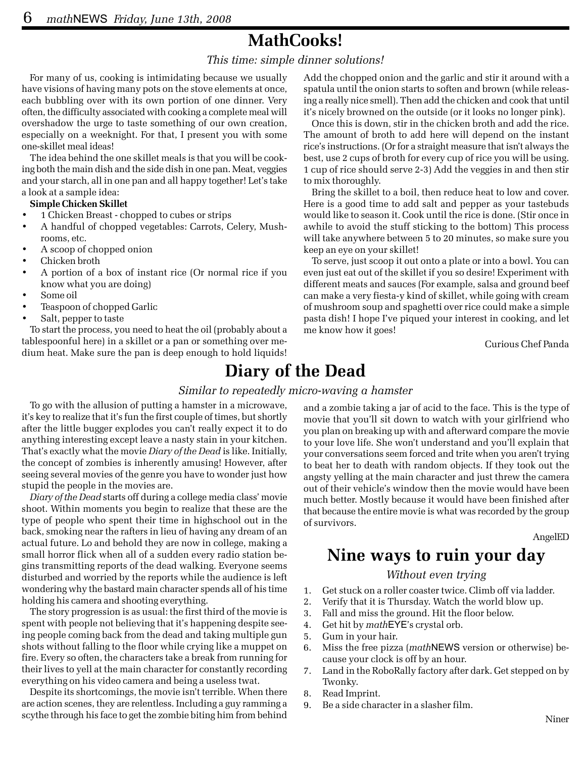# **MathCooks!**

### *This time: simple dinner solutions!*

For many of us, cooking is intimidating because we usually have visions of having many pots on the stove elements at once, each bubbling over with its own portion of one dinner. Very often, the difficulty associated with cooking a complete meal will overshadow the urge to taste something of our own creation, especially on a weeknight. For that, I present you with some one-skillet meal ideas!

The idea behind the one skillet meals is that you will be cooking both the main dish and the side dish in one pan. Meat, veggies and your starch, all in one pan and all happy together! Let's take a look at a sample idea:

#### **Simple Chicken Skillet**

- 1 Chicken Breast chopped to cubes or strips
- A handful of chopped vegetables: Carrots, Celery, Mushrooms, etc.
- A scoop of chopped onion
- Chicken broth
- A portion of a box of instant rice (Or normal rice if you know what you are doing)
- Some oil
- Teaspoon of chopped Garlic
- Salt, pepper to taste

To start the process, you need to heat the oil (probably about a tablespoonful here) in a skillet or a pan or something over medium heat. Make sure the pan is deep enough to hold liquids! Add the chopped onion and the garlic and stir it around with a spatula until the onion starts to soften and brown (while releasing a really nice smell). Then add the chicken and cook that until it's nicely browned on the outside (or it looks no longer pink).

Once this is down, stir in the chicken broth and add the rice. The amount of broth to add here will depend on the instant rice's instructions. (Or for a straight measure that isn't always the best, use 2 cups of broth for every cup of rice you will be using. 1 cup of rice should serve 2-3) Add the veggies in and then stir to mix thoroughly.

Bring the skillet to a boil, then reduce heat to low and cover. Here is a good time to add salt and pepper as your tastebuds would like to season it. Cook until the rice is done. (Stir once in awhile to avoid the stuff sticking to the bottom) This process will take anywhere between 5 to 20 minutes, so make sure you keep an eye on your skillet!

To serve, just scoop it out onto a plate or into a bowl. You can even just eat out of the skillet if you so desire! Experiment with different meats and sauces (For example, salsa and ground beef can make a very fiesta-y kind of skillet, while going with cream of mushroom soup and spaghetti over rice could make a simple pasta dish! I hope I've piqued your interest in cooking, and let me know how it goes!

Curious Chef Panda

## **Diary of the Dead**

#### *Similar to repeatedly micro-waving a hamster*

To go with the allusion of putting a hamster in a microwave, it's key to realize that it's fun the first couple of times, but shortly after the little bugger explodes you can't really expect it to do anything interesting except leave a nasty stain in your kitchen. That's exactly what the movie *Diary of the Dead* is like. Initially, the concept of zombies is inherently amusing! However, after seeing several movies of the genre you have to wonder just how stupid the people in the movies are.

*Diary of the Dead* starts off during a college media class' movie shoot. Within moments you begin to realize that these are the type of people who spent their time in highschool out in the back, smoking near the rafters in lieu of having any dream of an actual future. Lo and behold they are now in college, making a small horror flick when all of a sudden every radio station begins transmitting reports of the dead walking. Everyone seems disturbed and worried by the reports while the audience is left wondering why the bastard main character spends all of his time holding his camera and shooting everything.

The story progression is as usual: the first third of the movie is spent with people not believing that it's happening despite seeing people coming back from the dead and taking multiple gun shots without falling to the floor while crying like a muppet on fire. Every so often, the characters take a break from running for their lives to yell at the main character for constantly recording everything on his video camera and being a useless twat.

Despite its shortcomings, the movie isn't terrible. When there are action scenes, they are relentless. Including a guy ramming a scythe through his face to get the zombie biting him from behind and a zombie taking a jar of acid to the face. This is the type of movie that you'll sit down to watch with your girlfriend who you plan on breaking up with and afterward compare the movie to your love life. She won't understand and you'll explain that your conversations seem forced and trite when you aren't trying to beat her to death with random objects. If they took out the angsty yelling at the main character and just threw the camera out of their vehicle's window then the movie would have been much better. Mostly because it would have been finished after that because the entire movie is what was recorded by the group of survivors.

AngelED

# **Nine ways to ruin your day**

#### *Without even trying*

- 1. Get stuck on a roller coaster twice. Climb off via ladder.
- 2. Verify that it is Thursday. Watch the world blow up.
- 3. Fall and miss the ground. Hit the floor below.
- 4. Get hit by *math*EYE's crystal orb.
- 5. Gum in your hair.
- 6. Miss the free pizza (*math*NEWS version or otherwise) because your clock is off by an hour.
- 7. Land in the RoboRally factory after dark. Get stepped on by Twonky.
- 8. Read Imprint.
- 9. Be a side character in a slasher film.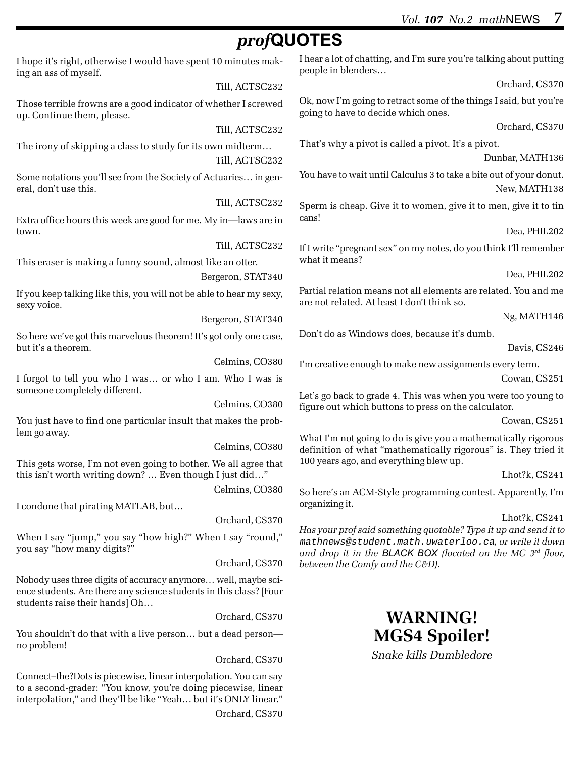# *prof***QUOTES**

I hope it's right, otherwise I would have spent 10 minutes making an ass of myself.

Till, ACTSC232

Those terrible frowns are a good indicator of whether I screwed up. Continue them, please.

Till, ACTSC232

The irony of skipping a class to study for its own midterm… Till, ACTSC232

Some notations you'll see from the Society of Actuaries… in general, don't use this.

Till, ACTSC232

Extra office hours this week are good for me. My in—laws are in town.

Till, ACTSC232

This eraser is making a funny sound, almost like an otter.

Bergeron, STAT340

If you keep talking like this, you will not be able to hear my sexy, sexy voice.

Bergeron, STAT340

So here we've got this marvelous theorem! It's got only one case, but it's a theorem.

Celmins, CO380

I forgot to tell you who I was… or who I am. Who I was is someone completely different.

Celmins, CO380

You just have to find one particular insult that makes the problem go away.

Celmins, CO380

This gets worse, I'm not even going to bother. We all agree that this isn't worth writing down? … Even though I just did…"

Celmins, CO380

I condone that pirating MATLAB, but…

Orchard, CS370

When I say "jump," you say "how high?" When I say "round," you say "how many digits?"

Orchard, CS370

Nobody uses three digits of accuracy anymore… well, maybe science students. Are there any science students in this class? [Four students raise their hands] Oh…

Orchard, CS370

You shouldn't do that with a live person… but a dead person no problem!

Orchard, CS370

Connect–the?Dots is piecewise, linear interpolation. You can say to a second-grader: "You know, you're doing piecewise, linear interpolation," and they'll be like "Yeah… but it's ONLY linear." Orchard, CS370 I hear a lot of chatting, and I'm sure you're talking about putting people in blenders…

Orchard, CS370

Ok, now I'm going to retract some of the things I said, but you're going to have to decide which ones.

Orchard, CS370

That's why a pivot is called a pivot. It's a pivot.

Dunbar, MATH136

You have to wait until Calculus 3 to take a bite out of your donut. New, MATH138

Sperm is cheap. Give it to women, give it to men, give it to tin cans!

Dea, PHIL202

If I write "pregnant sex" on my notes, do you think I'll remember what it means?

Dea, PHIL202

Partial relation means not all elements are related. You and me are not related. At least I don't think so.

Ng, MATH146

Don't do as Windows does, because it's dumb.

Davis, CS246

I'm creative enough to make new assignments every term.

Cowan, CS251

Let's go back to grade 4. This was when you were too young to figure out which buttons to press on the calculator.

Cowan, CS251

What I'm not going to do is give you a mathematically rigorous definition of what "mathematically rigorous" is. They tried it 100 years ago, and everything blew up.

Lhot?k, CS241

So here's an ACM-Style programming contest. Apparently, I'm organizing it.

### Lhot?k, CS241

*Has your prof said something quotable? Type it up and send it to* mathnews@student.math.uwaterloo.ca*, or write it down and drop it in the BLACK BOX (located on the MC 3rd floor, between the Comfy and the C&D).*

# **WARNING! MGS4 Spoiler!**

*Snake kills Dumbledore*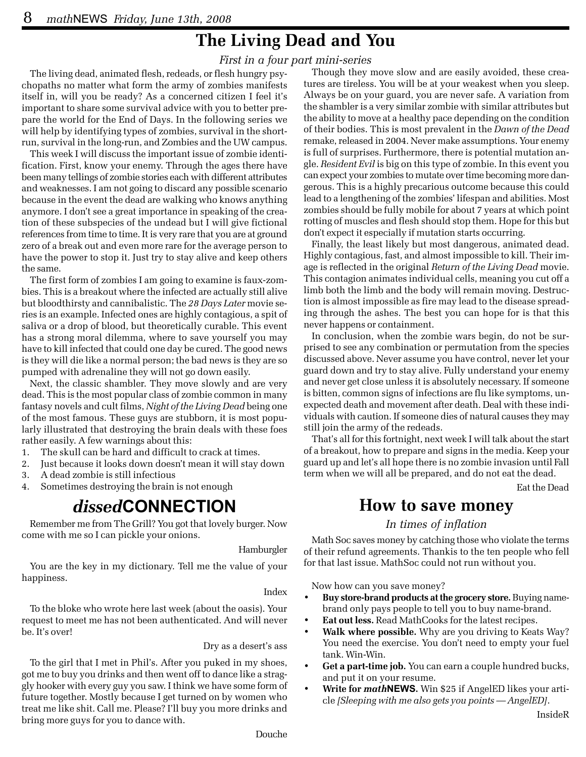# **The Living Dead and You**

### *First in a four part mini-series*

The living dead, animated flesh, redeads, or flesh hungry psychopaths no matter what form the army of zombies manifests itself in, will you be ready? As a concerned citizen I feel it's important to share some survival advice with you to better prepare the world for the End of Days. In the following series we will help by identifying types of zombies, survival in the shortrun, survival in the long-run, and Zombies and the UW campus.

This week I will discuss the important issue of zombie identification. First, know your enemy. Through the ages there have been many tellings of zombie stories each with different attributes and weaknesses. I am not going to discard any possible scenario because in the event the dead are walking who knows anything anymore. I don't see a great importance in speaking of the creation of these subspecies of the undead but I will give fictional references from time to time. It is very rare that you are at ground zero of a break out and even more rare for the average person to have the power to stop it. Just try to stay alive and keep others the same.

The first form of zombies I am going to examine is faux-zombies. This is a breakout where the infected are actually still alive but bloodthirsty and cannibalistic. The *28 Days Later* movie series is an example. Infected ones are highly contagious, a spit of saliva or a drop of blood, but theoretically curable. This event has a strong moral dilemma, where to save yourself you may have to kill infected that could one day be cured. The good news is they will die like a normal person; the bad news is they are so pumped with adrenaline they will not go down easily.

Next, the classic shambler. They move slowly and are very dead. This is the most popular class of zombie common in many fantasy novels and cult films, *Night of the Living Dead* being one of the most famous. These guys are stubborn, it is most popularly illustrated that destroying the brain deals with these foes rather easily. A few warnings about this:

- 1. The skull can be hard and difficult to crack at times.
- 2. Just because it looks down doesn't mean it will stay down
- 3. A dead zombie is still infectious
- 4. Sometimes destroying the brain is not enough

## *dissed***CONNECTION**

Remember me from The Grill? You got that lovely burger. Now come with me so I can pickle your onions.

Hamburgler

You are the key in my dictionary. Tell me the value of your happiness.

Index

To the bloke who wrote here last week (about the oasis). Your request to meet me has not been authenticated. And will never be. It's over!

### Dry as a desert's ass

To the girl that I met in Phil's. After you puked in my shoes, got me to buy you drinks and then went off to dance like a straggly hooker with every guy you saw. I think we have some form of future together. Mostly because I get turned on by women who treat me like shit. Call me. Please? I'll buy you more drinks and bring more guys for you to dance with.

Though they move slow and are easily avoided, these creatures are tireless. You will be at your weakest when you sleep. Always be on your guard, you are never safe. A variation from the shambler is a very similar zombie with similar attributes but the ability to move at a healthy pace depending on the condition of their bodies. This is most prevalent in the *Dawn of the Dead* remake, released in 2004. Never make assumptions. Your enemy is full of surprises. Furthermore, there is potential mutation angle. *Resident Evil* is big on this type of zombie. In this event you can expect your zombies to mutate over time becoming more dangerous. This is a highly precarious outcome because this could lead to a lengthening of the zombies' lifespan and abilities. Most zombies should be fully mobile for about 7 years at which point rotting of muscles and flesh should stop them. Hope for this but don't expect it especially if mutation starts occurring.

Finally, the least likely but most dangerous, animated dead. Highly contagious, fast, and almost impossible to kill. Their image is reflected in the original *Return of the Living Dead* movie. This contagion animates individual cells, meaning you cut off a limb both the limb and the body will remain moving. Destruction is almost impossible as fire may lead to the disease spreading through the ashes. The best you can hope for is that this never happens or containment.

In conclusion, when the zombie wars begin, do not be surprised to see any combination or permutation from the species discussed above. Never assume you have control, never let your guard down and try to stay alive. Fully understand your enemy and never get close unless it is absolutely necessary. If someone is bitten, common signs of infections are flu like symptoms, unexpected death and movement after death. Deal with these individuals with caution. If someone dies of natural causes they may still join the army of the redeads.

That's all for this fortnight, next week I will talk about the start of a breakout, how to prepare and signs in the media. Keep your guard up and let's all hope there is no zombie invasion until Fall term when we will all be prepared, and do not eat the dead.

Eat the Dead

### **How to save money**

### *In times of inflation*

Math Soc saves money by catching those who violate the terms of their refund agreements. Thankis to the ten people who fell for that last issue. MathSoc could not run without you.

Now how can you save money?

- **Buy store-brand products at the grocery store.** Buying namebrand only pays people to tell you to buy name-brand.
- **Eat out less.** Read MathCooks for the latest recipes.
- **Walk where possible.** Why are you driving to Keats Way? You need the exercise. You don't need to empty your fuel tank. Win-Win.
- **Get a part-time job.** You can earn a couple hundred bucks, and put it on your resume.
- **Write for** *math***NEWS.** Win \$25 if AngelED likes your article *[Sleeping with me also gets you points — AngelED]*.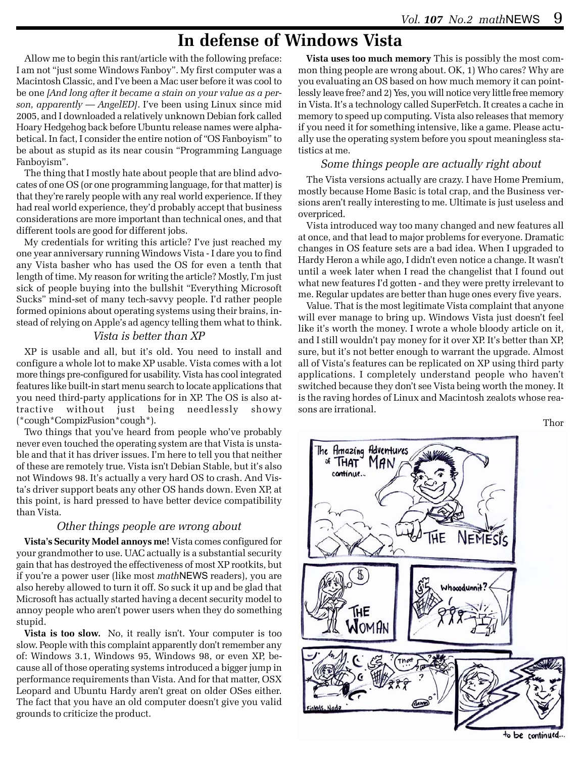# **In defense of Windows Vista**

Allow me to begin this rant/article with the following preface: I am not "just some Windows Fanboy". My first computer was a Macintosh Classic, and I've been a Mac user before it was cool to be one *[And long after it became a stain on your value as a person, apparently — AngelED]*. I've been using Linux since mid 2005, and I downloaded a relatively unknown Debian fork called Hoary Hedgehog back before Ubuntu release names were alphabetical. In fact, I consider the entire notion of "OS Fanboyism" to be about as stupid as its near cousin "Programming Language Fanboyism".

The thing that I mostly hate about people that are blind advocates of one OS (or one programming language, for that matter) is that they're rarely people with any real world experience. If they had real world experience, they'd probably accept that business considerations are more important than technical ones, and that different tools are good for different jobs.

My credentials for writing this article? I've just reached my one year anniversary running Windows Vista - I dare you to find any Vista basher who has used the OS for even a tenth that length of time. My reason for writing the article? Mostly, I'm just sick of people buying into the bullshit "Everything Microsoft Sucks" mind-set of many tech-savvy people. I'd rather people formed opinions about operating systems using their brains, instead of relying on Apple's ad agency telling them what to think.

### *Vista is better than XP*

XP is usable and all, but it's old. You need to install and configure a whole lot to make XP usable. Vista comes with a lot more things pre-configured for usability. Vista has cool integrated features like built-in start menu search to locate applications that you need third-party applications for in XP. The OS is also attractive without just being needlessly showy (\*cough\*CompizFusion\*cough\*).

Two things that you've heard from people who've probably never even touched the operating system are that Vista is unstable and that it has driver issues. I'm here to tell you that neither of these are remotely true. Vista isn't Debian Stable, but it's also not Windows 98. It's actually a very hard OS to crash. And Vista's driver support beats any other OS hands down. Even XP, at this point, is hard pressed to have better device compatibility than Vista.

### *Other things people are wrong about*

**Vista's Security Model annoys me!** Vista comes configured for your grandmother to use. UAC actually is a substantial security gain that has destroyed the effectiveness of most XP rootkits, but if you're a power user (like most *math*NEWS readers), you are also hereby allowed to turn it off. So suck it up and be glad that Microsoft has actually started having a decent security model to annoy people who aren't power users when they do something stupid.

**Vista is too slow.** No, it really isn't. Your computer is too slow. People with this complaint apparently don't remember any of: Windows 3.1, Windows 95, Windows 98, or even XP, because all of those operating systems introduced a bigger jump in performance requirements than Vista. And for that matter, OSX Leopard and Ubuntu Hardy aren't great on older OSes either. The fact that you have an old computer doesn't give you valid grounds to criticize the product.

**Vista uses too much memory** This is possibly the most common thing people are wrong about. OK, 1) Who cares? Why are you evaluating an OS based on how much memory it can pointlessly leave free? and 2) Yes, you will notice very little free memory in Vista. It's a technology called SuperFetch. It creates a cache in memory to speed up computing. Vista also releases that memory if you need it for something intensive, like a game. Please actually use the operating system before you spout meaningless statistics at me.

### *Some things people are actually right about*

The Vista versions actually are crazy. I have Home Premium, mostly because Home Basic is total crap, and the Business versions aren't really interesting to me. Ultimate is just useless and overpriced.

Vista introduced way too many changed and new features all at once, and that lead to major problems for everyone. Dramatic changes in OS feature sets are a bad idea. When I upgraded to Hardy Heron a while ago, I didn't even notice a change. It wasn't until a week later when I read the changelist that I found out what new features I'd gotten - and they were pretty irrelevant to me. Regular updates are better than huge ones every five years.

Value. That is the most legitimate Vista complaint that anyone will ever manage to bring up. Windows Vista just doesn't feel like it's worth the money. I wrote a whole bloody article on it, and I still wouldn't pay money for it over XP. It's better than XP, sure, but it's not better enough to warrant the upgrade. Almost all of Vista's features can be replicated on XP using third party applications. I completely understand people who haven't switched because they don't see Vista being worth the money. It is the raving hordes of Linux and Macintosh zealots whose reasons are irrational.

Thor